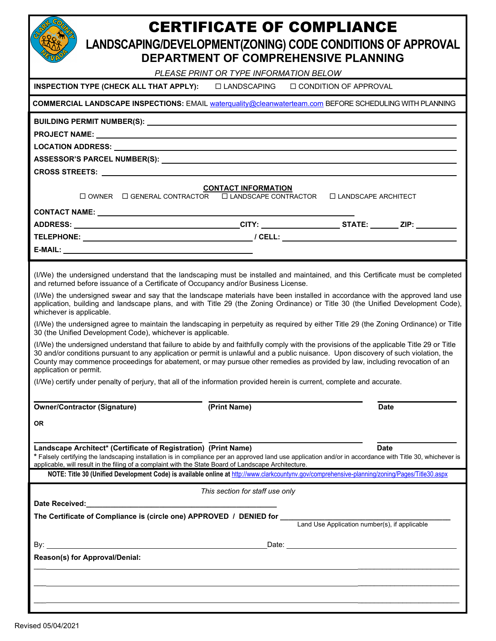## CERTIFICATE OF COMPLIANCE

**LANDSCAPING/DEVELOPMENT(ZONING) CODE CONDITIONS OF APPROVAL**

|                                                                                                                                                                                                                                                                                                                                                                                                                                                                                             | PLEASE PRINT OR TYPE INFORMATION BELOW | DEPARTMENT OF COMPREHENSIVE PLANNING |             |
|---------------------------------------------------------------------------------------------------------------------------------------------------------------------------------------------------------------------------------------------------------------------------------------------------------------------------------------------------------------------------------------------------------------------------------------------------------------------------------------------|----------------------------------------|--------------------------------------|-------------|
| INSPECTION TYPE (CHECK ALL THAT APPLY):                                                                                                                                                                                                                                                                                                                                                                                                                                                     | $\Box$ LANDSCAPING                     | $\Box$ CONDITION OF APPROVAL         |             |
| COMMERCIAL LANDSCAPE INSPECTIONS: EMAIL waterquality@cleanwaterteam.com BEFORE SCHEDULING WITH PLANNING                                                                                                                                                                                                                                                                                                                                                                                     |                                        |                                      |             |
|                                                                                                                                                                                                                                                                                                                                                                                                                                                                                             |                                        |                                      |             |
|                                                                                                                                                                                                                                                                                                                                                                                                                                                                                             |                                        |                                      |             |
| LOCATION ADDRESS: North and the contract of the contract of the contract of the contract of the contract of the contract of the contract of the contract of the contract of the contract of the contract of the contract of th                                                                                                                                                                                                                                                              |                                        |                                      |             |
|                                                                                                                                                                                                                                                                                                                                                                                                                                                                                             |                                        |                                      |             |
| CROSS STREETS: University of the contract of the contract of the contract of the contract of the contract of the contract of the contract of the contract of the contract of the contract of the contract of the contract of t                                                                                                                                                                                                                                                              |                                        |                                      |             |
| $\Box$ OWNER $\Box$ GENERAL CONTRACTOR $\Box$ LANDSCAPE CONTRACTOR                                                                                                                                                                                                                                                                                                                                                                                                                          | <b>CONTACT INFORMATION</b>             | $\Box$ LANDSCAPE ARCHITECT           |             |
|                                                                                                                                                                                                                                                                                                                                                                                                                                                                                             |                                        |                                      |             |
|                                                                                                                                                                                                                                                                                                                                                                                                                                                                                             |                                        |                                      |             |
|                                                                                                                                                                                                                                                                                                                                                                                                                                                                                             |                                        |                                      |             |
|                                                                                                                                                                                                                                                                                                                                                                                                                                                                                             |                                        |                                      |             |
| (I/We) the undersigned understand that the landscaping must be installed and maintained, and this Certificate must be completed<br>and returned before issuance of a Certificate of Occupancy and/or Business License.<br>(I/We) the undersigned swear and say that the landscape materials have been installed in accordance with the approved land use<br>application, building and landscape plans, and with Title 29 (the Zoning Ordinance) or Title 30 (the Unified Development Code), |                                        |                                      |             |
| whichever is applicable.                                                                                                                                                                                                                                                                                                                                                                                                                                                                    |                                        |                                      |             |
| (I/We) the undersigned agree to maintain the landscaping in perpetuity as required by either Title 29 (the Zoning Ordinance) or Title<br>30 (the Unified Development Code), whichever is applicable.                                                                                                                                                                                                                                                                                        |                                        |                                      |             |
| (I/We) the undersigned understand that failure to abide by and faithfully comply with the provisions of the applicable Title 29 or Title<br>30 and/or conditions pursuant to any application or permit is unlawful and a public nuisance. Upon discovery of such violation, the<br>County may commence proceedings for abatement, or may pursue other remedies as provided by law, including revocation of an<br>application or permit.                                                     |                                        |                                      |             |
| (I/We) certify under penalty of perjury, that all of the information provided herein is current, complete and accurate.                                                                                                                                                                                                                                                                                                                                                                     |                                        |                                      |             |
| <b>Owner/Contractor (Signature)</b>                                                                                                                                                                                                                                                                                                                                                                                                                                                         | (Print Name)                           |                                      | <b>Date</b> |
| <b>OR</b>                                                                                                                                                                                                                                                                                                                                                                                                                                                                                   |                                        |                                      |             |
| Landscape Architect* (Certificate of Registration) (Print Name)<br>* Falsely certifying the landscaping installation is in compliance per an approved land use application and/or in accordance with Title 30, whichever is<br>applicable, will result in the filing of a complaint with the State Board of Landscape Architecture.<br>NOTE: Title 30 (Unified Development Code) is available online at http://www.clarkcountynv.gov/comprehensive-planning/zoning/Pages/Title30.aspx       |                                        | <b>Date</b>                          |             |
|                                                                                                                                                                                                                                                                                                                                                                                                                                                                                             | This section for staff use only        |                                      |             |
|                                                                                                                                                                                                                                                                                                                                                                                                                                                                                             |                                        |                                      |             |
| The Certificate of Compliance is (circle one) APPROVED / DENIED for<br>Land Use Application number(s), if applicable                                                                                                                                                                                                                                                                                                                                                                        |                                        |                                      |             |
|                                                                                                                                                                                                                                                                                                                                                                                                                                                                                             |                                        |                                      |             |
| Reason(s) for Approval/Denial:                                                                                                                                                                                                                                                                                                                                                                                                                                                              |                                        |                                      |             |
|                                                                                                                                                                                                                                                                                                                                                                                                                                                                                             |                                        |                                      |             |
|                                                                                                                                                                                                                                                                                                                                                                                                                                                                                             |                                        |                                      |             |
|                                                                                                                                                                                                                                                                                                                                                                                                                                                                                             |                                        |                                      |             |
|                                                                                                                                                                                                                                                                                                                                                                                                                                                                                             |                                        |                                      |             |